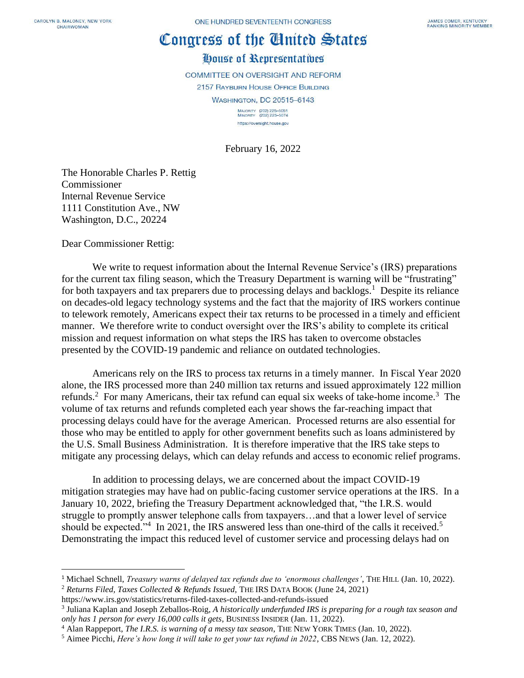## Congress of the Cinited States

## House of Representatives

COMMITTEE ON OVERSIGHT AND REFORM 2157 RAYBURN HOUSE OFFICE BUILDING **WASHINGTON, DC 20515-6143** 

MAJORITY (202) 225-5051<br>MINORITY (202) 225-5074 https://oversight.house.gov

February 16, 2022

The Honorable Charles P. Rettig Commissioner Internal Revenue Service 1111 Constitution Ave., NW Washington, D.C., 20224

Dear Commissioner Rettig:

We write to request information about the Internal Revenue Service's (IRS) preparations for the current tax filing season, which the Treasury Department is warning will be "frustrating" for both taxpayers and tax preparers due to processing delays and backlogs.<sup>1</sup> Despite its reliance on decades-old legacy technology systems and the fact that the majority of IRS workers continue to telework remotely, Americans expect their tax returns to be processed in a timely and efficient manner. We therefore write to conduct oversight over the IRS's ability to complete its critical mission and request information on what steps the IRS has taken to overcome obstacles presented by the COVID-19 pandemic and reliance on outdated technologies.

Americans rely on the IRS to process tax returns in a timely manner. In Fiscal Year 2020 alone, the IRS processed more than 240 million tax returns and issued approximately 122 million refunds.<sup>2</sup> For many Americans, their tax refund can equal six weeks of take-home income.<sup>3</sup> The volume of tax returns and refunds completed each year shows the far-reaching impact that processing delays could have for the average American. Processed returns are also essential for those who may be entitled to apply for other government benefits such as loans administered by the U.S. Small Business Administration. It is therefore imperative that the IRS take steps to mitigate any processing delays, which can delay refunds and access to economic relief programs.

In addition to processing delays, we are concerned about the impact COVID-19 mitigation strategies may have had on public-facing customer service operations at the IRS. In a January 10, 2022, briefing the Treasury Department acknowledged that, "the I.R.S. would struggle to promptly answer telephone calls from taxpayers…and that a lower level of service should be expected."<sup>4</sup> In 2021, the IRS answered less than one-third of the calls it received.<sup>5</sup> Demonstrating the impact this reduced level of customer service and processing delays had on

<sup>2</sup> *Returns Filed, Taxes Collected & Refunds Issued,* THE IRS DATA BOOK (June 24, 2021)

<sup>1</sup> Michael Schnell, *Treasury warns of delayed tax refunds due to 'enormous challenges'*, THE HILL (Jan. 10, 2022).

https://www.irs.gov/statistics/returns-filed-taxes-collected-and-refunds-issued

<sup>3</sup> Juliana Kaplan and Joseph Zeballos-Roig, *A historically underfunded IRS is preparing for a rough tax season and only has 1 person for every 16,000 calls it gets*, BUSINESS INSIDER (Jan. 11, 2022).

<sup>4</sup> Alan Rappeport, *The I.R.S. is warning of a messy tax season*, THE NEW YORK TIMES (Jan. 10, 2022).

<sup>5</sup> Aimee Picchi, *Here's how long it will take to get your tax refund in 2022*, CBS NEWS (Jan. 12, 2022).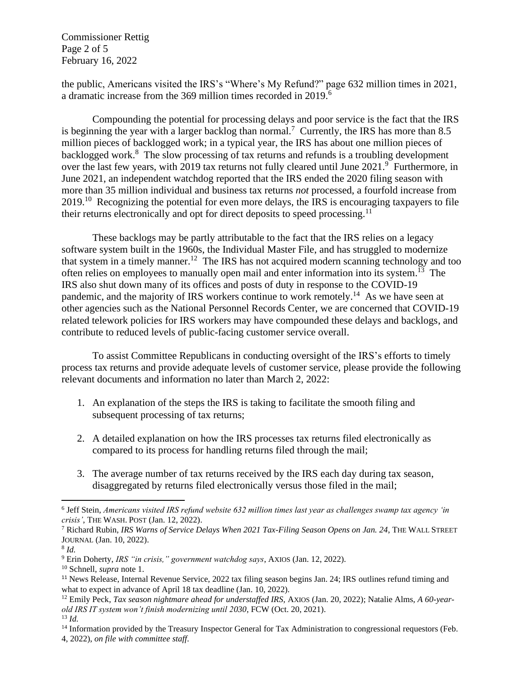Commissioner Rettig Page 2 of 5 February 16, 2022

the public, Americans visited the IRS's "Where's My Refund?" page 632 million times in 2021, a dramatic increase from the 369 million times recorded in 2019.<sup>6</sup>

Compounding the potential for processing delays and poor service is the fact that the IRS is beginning the year with a larger backlog than normal.<sup>7</sup> Currently, the IRS has more than 8.5 million pieces of backlogged work; in a typical year, the IRS has about one million pieces of backlogged work.<sup>8</sup> The slow processing of tax returns and refunds is a troubling development over the last few years, with 2019 tax returns not fully cleared until June  $2021$ . Furthermore, in June 2021, an independent watchdog reported that the IRS ended the 2020 filing season with more than 35 million individual and business tax returns *not* processed, a fourfold increase from 2019.<sup>10</sup> Recognizing the potential for even more delays, the IRS is encouraging taxpayers to file their returns electronically and opt for direct deposits to speed processing.<sup>11</sup>

These backlogs may be partly attributable to the fact that the IRS relies on a legacy software system built in the 1960s, the Individual Master File, and has struggled to modernize that system in a timely manner.<sup>12</sup> The IRS has not acquired modern scanning technology and too often relies on employees to manually open mail and enter information into its system.<sup>13</sup> The IRS also shut down many of its offices and posts of duty in response to the COVID-19 pandemic, and the majority of IRS workers continue to work remotely.<sup>14</sup> As we have seen at other agencies such as the National Personnel Records Center, we are concerned that COVID-19 related telework policies for IRS workers may have compounded these delays and backlogs, and contribute to reduced levels of public-facing customer service overall.

To assist Committee Republicans in conducting oversight of the IRS's efforts to timely process tax returns and provide adequate levels of customer service, please provide the following relevant documents and information no later than March 2, 2022:

- 1. An explanation of the steps the IRS is taking to facilitate the smooth filing and subsequent processing of tax returns;
- 2. A detailed explanation on how the IRS processes tax returns filed electronically as compared to its process for handling returns filed through the mail;
- 3. The average number of tax returns received by the IRS each day during tax season, disaggregated by returns filed electronically versus those filed in the mail;

<sup>6</sup> Jeff Stein, *Americans visited IRS refund website 632 million times last year as challenges swamp tax agency 'in crisis'*, THE WASH. POST (Jan. 12, 2022).

<sup>7</sup> Richard Rubin, *IRS Warns of Service Delays When 2021 Tax-Filing Season Opens on Jan. 24*, THE WALL STREET JOURNAL (Jan. 10, 2022).

<sup>8</sup> *Id.*

<sup>9</sup> Erin Doherty, *IRS "in crisis," government watchdog says*, AXIOS (Jan. 12, 2022).

<sup>10</sup> Schnell, *supra* note 1.

<sup>11</sup> News Release, Internal Revenue Service, 2022 tax filing season begins Jan. 24; IRS outlines refund timing and what to expect in advance of April 18 tax deadline (Jan. 10, 2022).

<sup>12</sup> Emily Peck, *Tax season nightmare ahead for understaffed IRS,* AXIOS (Jan. 20, 2022); Natalie Alms, *A 60-yearold IRS IT system won't finish modernizing until 2030*, FCW (Oct. 20, 2021). <sup>13</sup> *Id.*

<sup>&</sup>lt;sup>14</sup> Information provided by the Treasury Inspector General for Tax Administration to congressional requestors (Feb. 4, 2022), *on file with committee staff*.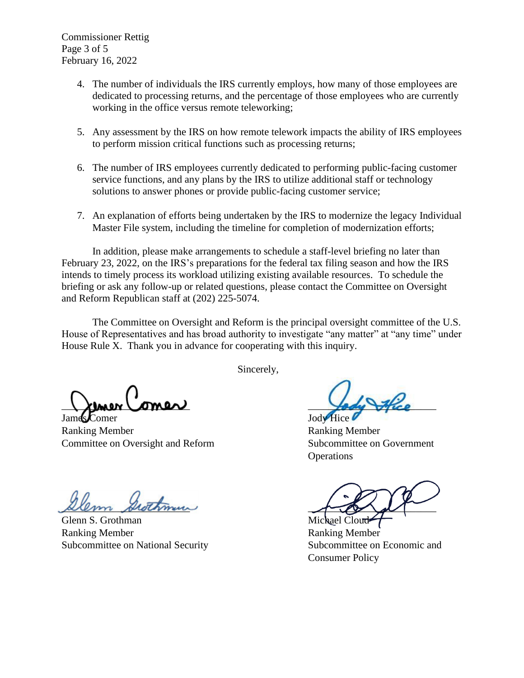Commissioner Rettig Page 3 of 5 February 16, 2022

- 4. The number of individuals the IRS currently employs, how many of those employees are dedicated to processing returns, and the percentage of those employees who are currently working in the office versus remote teleworking;
- 5. Any assessment by the IRS on how remote telework impacts the ability of IRS employees to perform mission critical functions such as processing returns;
- 6. The number of IRS employees currently dedicated to performing public-facing customer service functions, and any plans by the IRS to utilize additional staff or technology solutions to answer phones or provide public-facing customer service;
- 7. An explanation of efforts being undertaken by the IRS to modernize the legacy Individual Master File system, including the timeline for completion of modernization efforts;

In addition, please make arrangements to schedule a staff-level briefing no later than February 23, 2022, on the IRS's preparations for the federal tax filing season and how the IRS intends to timely process its workload utilizing existing available resources. To schedule the briefing or ask any follow-up or related questions, please contact the Committee on Oversight and Reform Republican staff at (202) 225-5074.

The Committee on Oversight and Reform is the principal oversight committee of the U.S. House of Representatives and has broad authority to investigate "any matter" at "any time" under House Rule X. Thank you in advance for cooperating with this inquiry.

Sincerely,

 $\lambda$ uner Comer

James Comer Jody Hice Ranking Member Ranking Member Committee on Oversight and Reform Subcommittee on Government

 $\mu$ lem shothman

Glenn S. Grothman Michael Cloud Ranking Member Ranking Member Subcommittee on National Security Subcommittee on Economic and

**Operations** 

Consumer Policy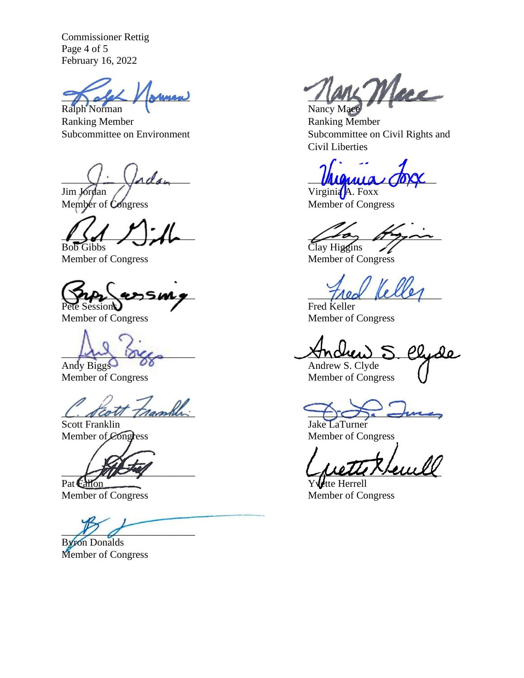Commissioner Rettig Page 4 of 5 February 16, 2022

Ralph Norman

Ranking Member<br>Subcommittee on Environment<br>Subcommittee on the Subcommittee on the Subcommittee on the Subcommittee on the Subcommittee on the Subcommittee on the Subcommittee on the Subcommittee on the Subcommittee on the

Bob Gibbs Clay Higgins

Member of Congress Member of Congress

 $\tau_{\text{max}}$  assure  $\tau_{\text{max}}$ Fred Keller

Member of Congress Member of Congress

C. Keott Framble:

Member of Congress

 $\mathcal{L}$ 

Byron Donalds Member of Congress

 $\frac{1}{N}$  Mary Mere

Subcommittee on Civil Rights and Civil Liberties

 $M_{M_{M1}a}$  (OXX)

Jim Jordan / Virginia A. Foxx Member of Congress Member of Congress

 $\sqrt{2}$ 

Member of Congress Member of Congress

Andrew S. Clyde Andrew S. Clyde

Jake LaTurner Member of Congress Member of Congress

 $\bigcup_{\mathcal{U}}\bigcup_{\mathcal{U}}\bigcup_{\mathcal{U}}\bigcup_{\mathcal{U}}\bigcup_{\mathcal{U}}\bigcap_{\mathcal{U}}\bigcup_{\mathcal{U}}\bigcup_{\mathcal{U}}\bigcup_{\mathcal{U}}\bigcup_{\mathcal{U}}\bigcup_{\mathcal{U}}\bigcup_{\mathcal{U}}\bigcup_{\mathcal{U}}\bigcup_{\mathcal{U}}\bigcup_{\mathcal{U}}\bigcup_{\mathcal{U}}\bigcup_{\mathcal{U}}\bigcup_{\mathcal{U}}\bigcup_{\mathcal{U}}\bigcup_{\mathcal{U}}\bigcup_{\mathcal{U}}\bigcup_{\mathcal{U}}$ 

Pat Fallon Yvette Herrell<br>Member of Congress Member of Congress